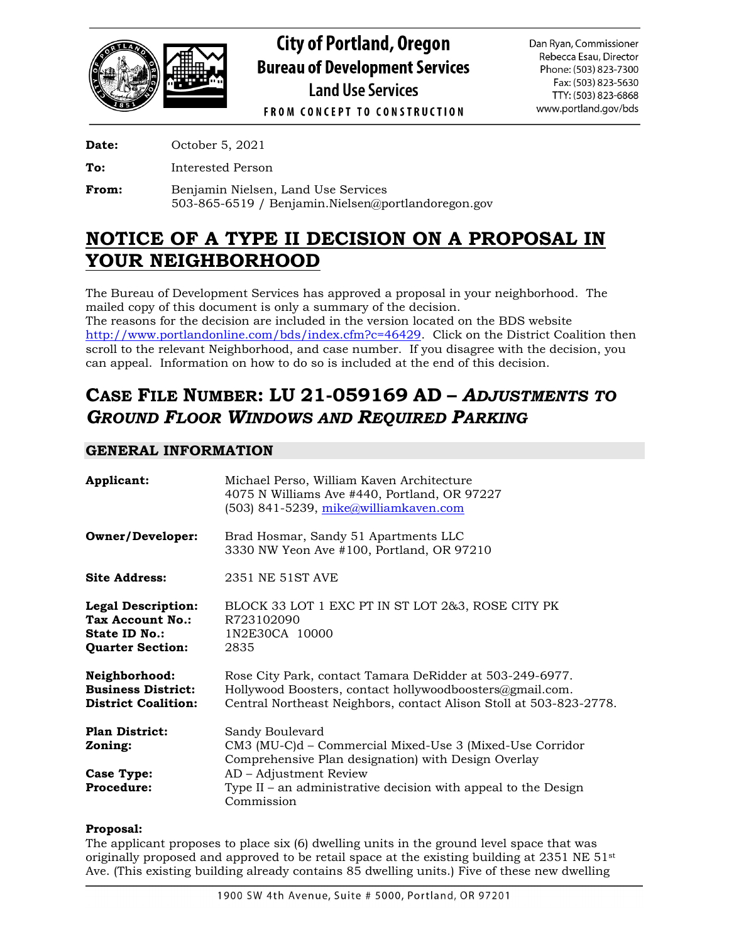

**City of Portland, Oregon Bureau of Development Services Land Use Services** 

Dan Ryan, Commissioner Rebecca Esau, Director Phone: (503) 823-7300 Fax: (503) 823-5630 TTY: (503) 823-6868 www.portland.gov/bds

**FROM CONCEPT TO CONSTRUCTION** 

**Date:** October 5, 2021

**To:** Interested Person

**From:** Benjamin Nielsen, Land Use Services 503-865-6519 / Benjamin.Nielsen@portlandoregon.gov

# **NOTICE OF A TYPE II DECISION ON A PROPOSAL IN YOUR NEIGHBORHOOD**

The Bureau of Development Services has approved a proposal in your neighborhood. The mailed copy of this document is only a summary of the decision. The reasons for the decision are included in the version located on the BDS website [http://www.portlandonline.com/bds/index.cfm?c=46429.](http://www.portlandonline.com/bds/index.cfm?c=46429) Click on the District Coalition then scroll to the relevant Neighborhood, and case number. If you disagree with the decision, you can appeal. Information on how to do so is included at the end of this decision.

# **CASE FILE NUMBER: LU 21-059169 AD –** *ADJUSTMENTS TO GROUND FLOOR WINDOWS AND REQUIRED PARKING*

# **GENERAL INFORMATION**

| Applicant:                                                                                | Michael Perso, William Kaven Architecture<br>4075 N Williams Ave #440, Portland, OR 97227<br>(503) 841-5239, mike@williamkaven.com                                                         |
|-------------------------------------------------------------------------------------------|--------------------------------------------------------------------------------------------------------------------------------------------------------------------------------------------|
| <b>Owner/Developer:</b>                                                                   | Brad Hosmar, Sandy 51 Apartments LLC<br>3330 NW Yeon Ave #100, Portland, OR 97210                                                                                                          |
| <b>Site Address:</b>                                                                      | 2351 NE 51ST AVE                                                                                                                                                                           |
| <b>Legal Description:</b><br>Tax Account No.:<br>State ID No.:<br><b>Quarter Section:</b> | BLOCK 33 LOT 1 EXC PT IN ST LOT 2&3, ROSE CITY PK<br>R723102090<br>1N2E30CA 10000<br>2835                                                                                                  |
| Neighborhood:<br><b>Business District:</b><br><b>District Coalition:</b>                  | Rose City Park, contact Tamara DeRidder at 503-249-6977.<br>Hollywood Boosters, contact hollywoodboosters@gmail.com.<br>Central Northeast Neighbors, contact Alison Stoll at 503-823-2778. |
| <b>Plan District:</b><br>Zoning:                                                          | Sandy Boulevard<br>CM3 (MU-C)d – Commercial Mixed-Use 3 (Mixed-Use Corridor<br>Comprehensive Plan designation) with Design Overlay                                                         |
| <b>Case Type:</b><br><b>Procedure:</b>                                                    | AD - Adjustment Review<br>Type II – an administrative decision with appeal to the Design<br>Commission                                                                                     |

# **Proposal:**

The applicant proposes to place six (6) dwelling units in the ground level space that was originally proposed and approved to be retail space at the existing building at 2351 NE 51st Ave. (This existing building already contains 85 dwelling units.) Five of these new dwelling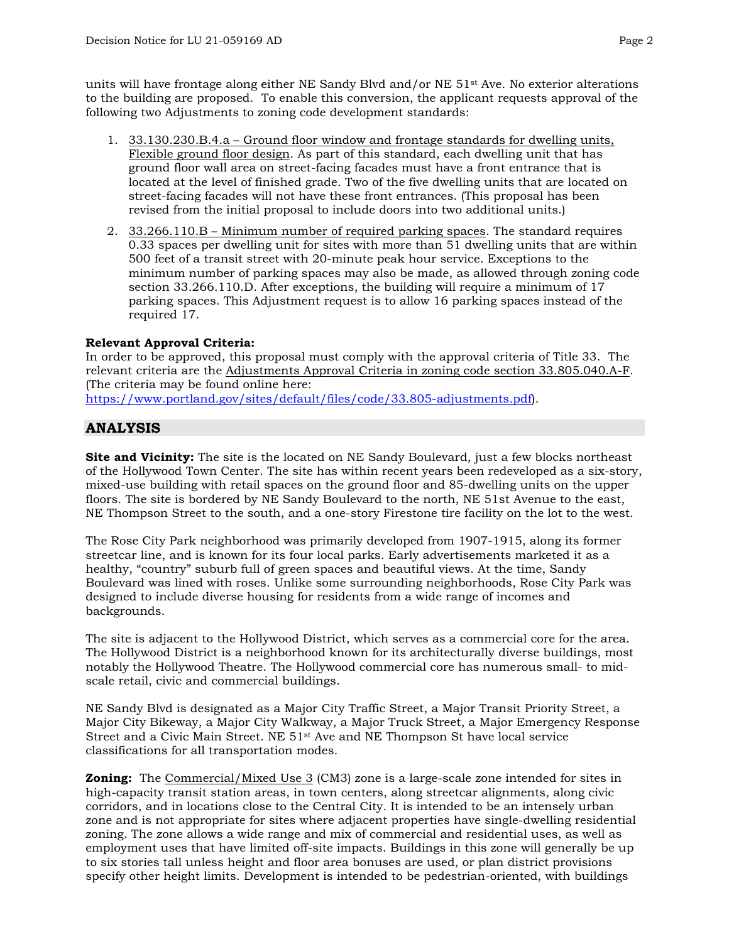units will have frontage along either NE Sandy Blvd and/or NE 51st Ave. No exterior alterations to the building are proposed. To enable this conversion, the applicant requests approval of the following two Adjustments to zoning code development standards:

- 1. 33.130.230.B.4.a Ground floor window and frontage standards for dwelling units, Flexible ground floor design. As part of this standard, each dwelling unit that has ground floor wall area on street-facing facades must have a front entrance that is located at the level of finished grade. Two of the five dwelling units that are located on street-facing facades will not have these front entrances. (This proposal has been revised from the initial proposal to include doors into two additional units.)
- 2. 33.266.110.B Minimum number of required parking spaces. The standard requires 0.33 spaces per dwelling unit for sites with more than 51 dwelling units that are within 500 feet of a transit street with 20-minute peak hour service. Exceptions to the minimum number of parking spaces may also be made, as allowed through zoning code section 33.266.110.D. After exceptions, the building will require a minimum of 17 parking spaces. This Adjustment request is to allow 16 parking spaces instead of the required 17.

# **Relevant Approval Criteria:**

In order to be approved, this proposal must comply with the approval criteria of Title 33. The relevant criteria are the Adjustments Approval Criteria in zoning code section 33.805.040.A-F. (The criteria may be found online here: [https://www.portland.gov/sites/default/files/code/33.805-adjustments.pdf\)](https://www.portland.gov/sites/default/files/code/33.805-adjustments.pdf).

# **ANALYSIS**

**Site and Vicinity:** The site is the located on NE Sandy Boulevard, just a few blocks northeast of the Hollywood Town Center. The site has within recent years been redeveloped as a six-story, mixed-use building with retail spaces on the ground floor and 85-dwelling units on the upper floors. The site is bordered by NE Sandy Boulevard to the north, NE 51st Avenue to the east, NE Thompson Street to the south, and a one-story Firestone tire facility on the lot to the west.

The Rose City Park neighborhood was primarily developed from 1907-1915, along its former streetcar line, and is known for its four local parks. Early advertisements marketed it as a healthy, "country" suburb full of green spaces and beautiful views. At the time, Sandy Boulevard was lined with roses. Unlike some surrounding neighborhoods, Rose City Park was designed to include diverse housing for residents from a wide range of incomes and backgrounds.

The site is adjacent to the Hollywood District, which serves as a commercial core for the area. The Hollywood District is a neighborhood known for its architecturally diverse buildings, most notably the Hollywood Theatre. The Hollywood commercial core has numerous small- to midscale retail, civic and commercial buildings.

NE Sandy Blvd is designated as a Major City Traffic Street, a Major Transit Priority Street, a Major City Bikeway, a Major City Walkway, a Major Truck Street, a Major Emergency Response Street and a Civic Main Street. NE 51st Ave and NE Thompson St have local service classifications for all transportation modes.

**Zoning:** The Commercial/Mixed Use 3 (CM3) zone is a large-scale zone intended for sites in high-capacity transit station areas, in town centers, along streetcar alignments, along civic corridors, and in locations close to the Central City. It is intended to be an intensely urban zone and is not appropriate for sites where adjacent properties have single-dwelling residential zoning. The zone allows a wide range and mix of commercial and residential uses, as well as employment uses that have limited off-site impacts. Buildings in this zone will generally be up to six stories tall unless height and floor area bonuses are used, or plan district provisions specify other height limits. Development is intended to be pedestrian-oriented, with buildings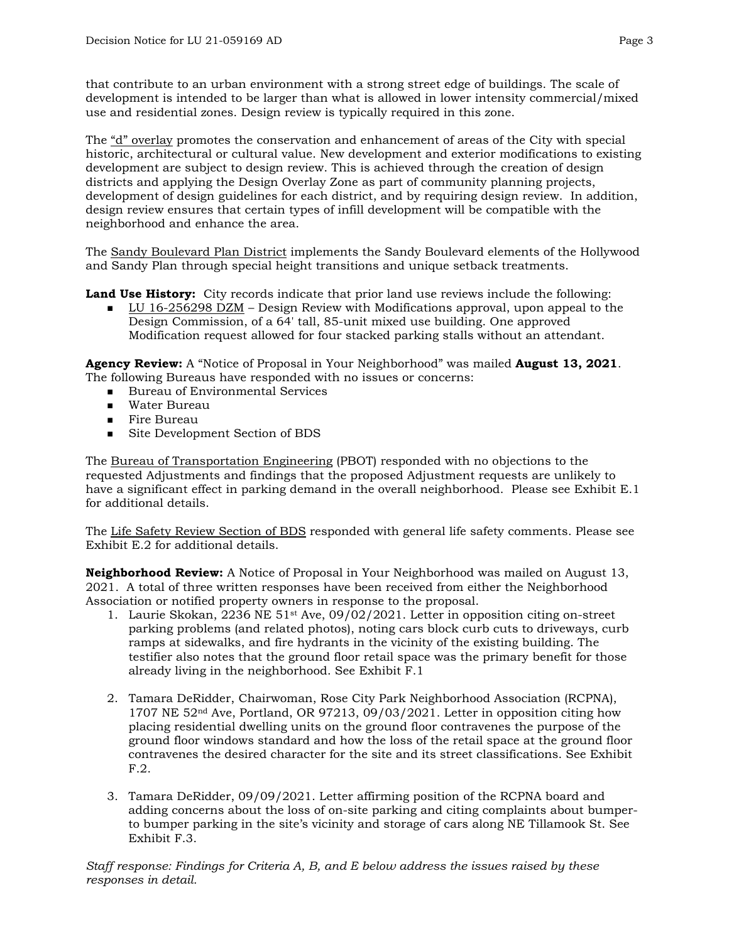that contribute to an urban environment with a strong street edge of buildings. The scale of development is intended to be larger than what is allowed in lower intensity commercial/mixed use and residential zones. Design review is typically required in this zone.

The "d" overlay promotes the conservation and enhancement of areas of the City with special historic, architectural or cultural value. New development and exterior modifications to existing development are subject to design review. This is achieved through the creation of design districts and applying the Design Overlay Zone as part of community planning projects, development of design guidelines for each district, and by requiring design review. In addition, design review ensures that certain types of infill development will be compatible with the neighborhood and enhance the area.

The Sandy Boulevard Plan District implements the Sandy Boulevard elements of the Hollywood and Sandy Plan through special height transitions and unique setback treatments.

**Land Use History:** City records indicate that prior land use reviews include the following:

 $\blacksquare$  LU 16-256298 DZM – Design Review with Modifications approval, upon appeal to the Design Commission, of a 64' tall, 85-unit mixed use building. One approved Modification request allowed for four stacked parking stalls without an attendant.

**Agency Review:** A "Notice of Proposal in Your Neighborhood" was mailed **August 13, 2021**. The following Bureaus have responded with no issues or concerns:

- **Bureau of Environmental Services**
- Water Bureau
- **Fire Bureau**
- Site Development Section of BDS

The Bureau of Transportation Engineering (PBOT) responded with no objections to the requested Adjustments and findings that the proposed Adjustment requests are unlikely to have a significant effect in parking demand in the overall neighborhood. Please see Exhibit E.1 for additional details.

The Life Safety Review Section of BDS responded with general life safety comments. Please see Exhibit E.2 for additional details.

**Neighborhood Review:** A Notice of Proposal in Your Neighborhood was mailed on August 13, 2021. A total of three written responses have been received from either the Neighborhood Association or notified property owners in response to the proposal.

- 1. Laurie Skokan, 2236 NE 51st Ave, 09/02/2021. Letter in opposition citing on-street parking problems (and related photos), noting cars block curb cuts to driveways, curb ramps at sidewalks, and fire hydrants in the vicinity of the existing building. The testifier also notes that the ground floor retail space was the primary benefit for those already living in the neighborhood. See Exhibit F.1
- 2. Tamara DeRidder, Chairwoman, Rose City Park Neighborhood Association (RCPNA), 1707 NE  $52<sup>nd</sup>$  Ave, Portland, OR 97213, 09/03/2021. Letter in opposition citing how placing residential dwelling units on the ground floor contravenes the purpose of the ground floor windows standard and how the loss of the retail space at the ground floor contravenes the desired character for the site and its street classifications. See Exhibit F.2.
- 3. Tamara DeRidder, 09/09/2021. Letter affirming position of the RCPNA board and adding concerns about the loss of on-site parking and citing complaints about bumperto bumper parking in the site's vicinity and storage of cars along NE Tillamook St. See Exhibit F.3.

*Staff response: Findings for Criteria A, B, and E below address the issues raised by these responses in detail.*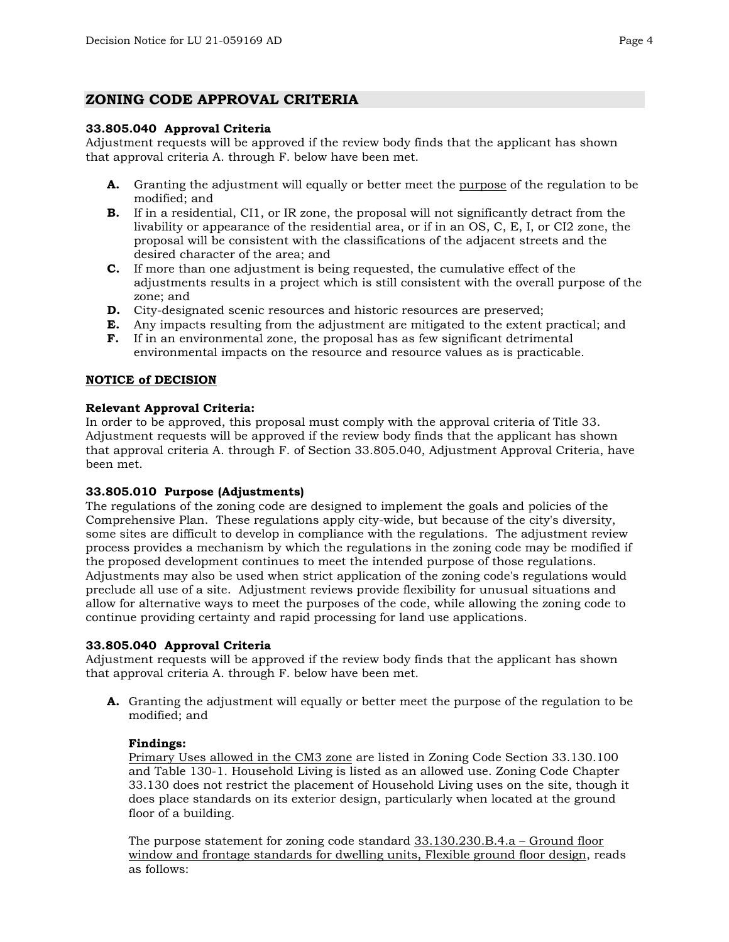# **ZONING CODE APPROVAL CRITERIA**

### **33.805.040 Approval Criteria**

Adjustment requests will be approved if the review body finds that the applicant has shown that approval criteria A. through F. below have been met.

- **A.** Granting the adjustment will equally or better meet the purpose of the regulation to be modified; and
- **B.** If in a residential, CI1, or IR zone, the proposal will not significantly detract from the livability or appearance of the residential area, or if in an OS, C, E, I, or CI2 zone, the proposal will be consistent with the classifications of the adjacent streets and the desired character of the area; and
- **C.** If more than one adjustment is being requested, the cumulative effect of the adjustments results in a project which is still consistent with the overall purpose of the zone; and
- **D.** City-designated scenic resources and historic resources are preserved;
- **E.** Any impacts resulting from the adjustment are mitigated to the extent practical; and
- **F.** If in an environmental zone, the proposal has as few significant detrimental environmental impacts on the resource and resource values as is practicable.

## **NOTICE of DECISION**

## **Relevant Approval Criteria:**

In order to be approved, this proposal must comply with the approval criteria of Title 33. Adjustment requests will be approved if the review body finds that the applicant has shown that approval criteria A. through F. of Section 33.805.040, Adjustment Approval Criteria, have been met.

# **33.805.010 Purpose (Adjustments)**

The regulations of the zoning code are designed to implement the goals and policies of the Comprehensive Plan. These regulations apply city-wide, but because of the city's diversity, some sites are difficult to develop in compliance with the regulations. The adjustment review process provides a mechanism by which the regulations in the zoning code may be modified if the proposed development continues to meet the intended purpose of those regulations. Adjustments may also be used when strict application of the zoning code's regulations would preclude all use of a site. Adjustment reviews provide flexibility for unusual situations and allow for alternative ways to meet the purposes of the code, while allowing the zoning code to continue providing certainty and rapid processing for land use applications.

#### **33.805.040 Approval Criteria**

Adjustment requests will be approved if the review body finds that the applicant has shown that approval criteria A. through F. below have been met.

**A.** Granting the adjustment will equally or better meet the purpose of the regulation to be modified; and

# **Findings:**

Primary Uses allowed in the CM3 zone are listed in Zoning Code Section 33.130.100 and Table 130-1. Household Living is listed as an allowed use. Zoning Code Chapter 33.130 does not restrict the placement of Household Living uses on the site, though it does place standards on its exterior design, particularly when located at the ground floor of a building.

The purpose statement for zoning code standard 33.130.230.B.4.a – Ground floor window and frontage standards for dwelling units, Flexible ground floor design, reads as follows: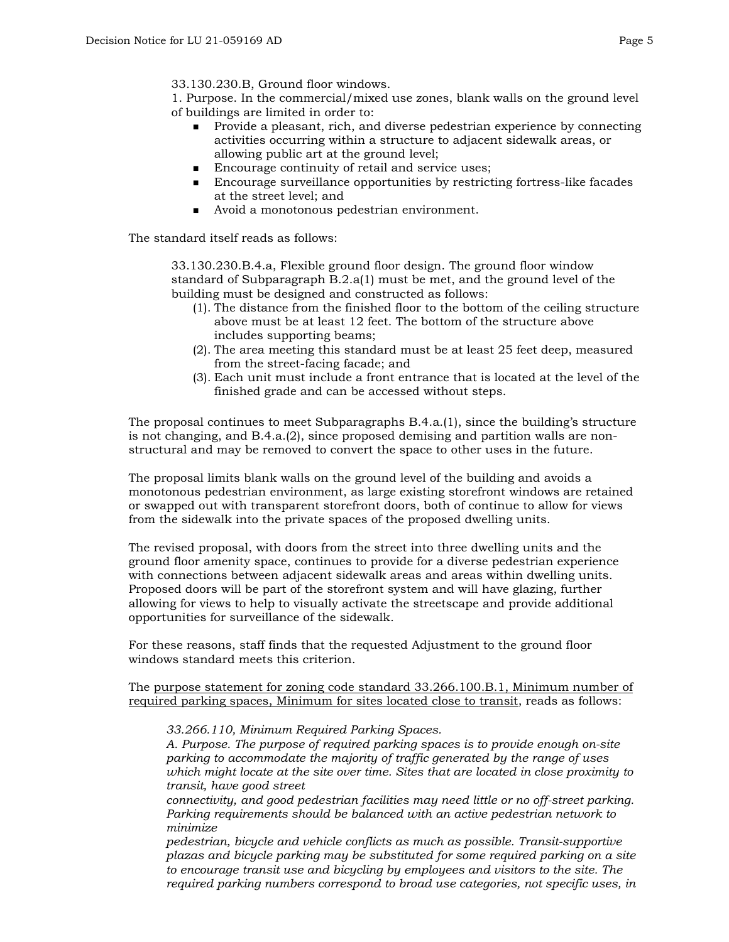33.130.230.B, Ground floor windows.

1. Purpose. In the commercial/mixed use zones, blank walls on the ground level of buildings are limited in order to:

- **Provide a pleasant, rich, and diverse pedestrian experience by connecting** activities occurring within a structure to adjacent sidewalk areas, or allowing public art at the ground level;
- Encourage continuity of retail and service uses;
- Encourage surveillance opportunities by restricting fortress-like facades at the street level; and
- Avoid a monotonous pedestrian environment.

The standard itself reads as follows:

33.130.230.B.4.a, Flexible ground floor design. The ground floor window standard of Subparagraph B.2.a(1) must be met, and the ground level of the building must be designed and constructed as follows:

- (1). The distance from the finished floor to the bottom of the ceiling structure above must be at least 12 feet. The bottom of the structure above includes supporting beams;
- (2). The area meeting this standard must be at least 25 feet deep, measured from the street-facing facade; and
- (3). Each unit must include a front entrance that is located at the level of the finished grade and can be accessed without steps.

The proposal continues to meet Subparagraphs B.4.a.(1), since the building's structure is not changing, and B.4.a.(2), since proposed demising and partition walls are nonstructural and may be removed to convert the space to other uses in the future.

The proposal limits blank walls on the ground level of the building and avoids a monotonous pedestrian environment, as large existing storefront windows are retained or swapped out with transparent storefront doors, both of continue to allow for views from the sidewalk into the private spaces of the proposed dwelling units.

The revised proposal, with doors from the street into three dwelling units and the ground floor amenity space, continues to provide for a diverse pedestrian experience with connections between adjacent sidewalk areas and areas within dwelling units. Proposed doors will be part of the storefront system and will have glazing, further allowing for views to help to visually activate the streetscape and provide additional opportunities for surveillance of the sidewalk.

For these reasons, staff finds that the requested Adjustment to the ground floor windows standard meets this criterion.

The purpose statement for zoning code standard 33.266.100.B.1, Minimum number of required parking spaces, Minimum for sites located close to transit, reads as follows:

*33.266.110, Minimum Required Parking Spaces.*

*A. Purpose. The purpose of required parking spaces is to provide enough on-site parking to accommodate the majority of traffic generated by the range of uses which might locate at the site over time. Sites that are located in close proximity to transit, have good street* 

*connectivity, and good pedestrian facilities may need little or no off-street parking. Parking requirements should be balanced with an active pedestrian network to minimize* 

*pedestrian, bicycle and vehicle conflicts as much as possible. Transit-supportive plazas and bicycle parking may be substituted for some required parking on a site to encourage transit use and bicycling by employees and visitors to the site. The required parking numbers correspond to broad use categories, not specific uses, in*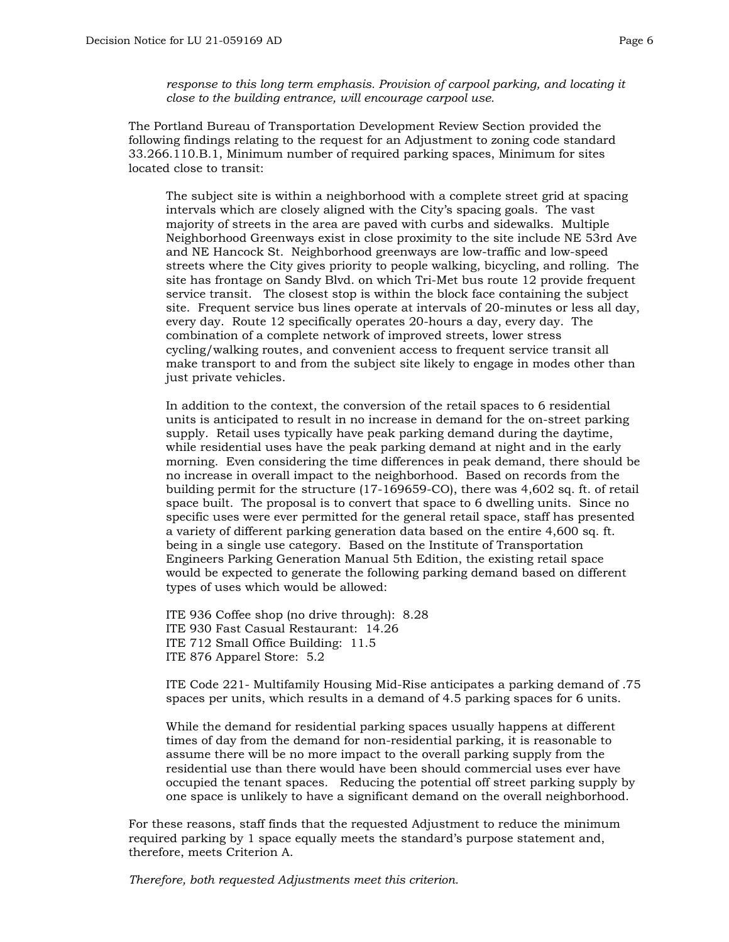*response to this long term emphasis. Provision of carpool parking, and locating it close to the building entrance, will encourage carpool use.*

The Portland Bureau of Transportation Development Review Section provided the following findings relating to the request for an Adjustment to zoning code standard 33.266.110.B.1, Minimum number of required parking spaces, Minimum for sites located close to transit:

The subject site is within a neighborhood with a complete street grid at spacing intervals which are closely aligned with the City's spacing goals. The vast majority of streets in the area are paved with curbs and sidewalks. Multiple Neighborhood Greenways exist in close proximity to the site include NE 53rd Ave and NE Hancock St. Neighborhood greenways are low-traffic and low-speed streets where the City gives priority to people walking, bicycling, and rolling. The site has frontage on Sandy Blvd. on which Tri-Met bus route 12 provide frequent service transit. The closest stop is within the block face containing the subject site. Frequent service bus lines operate at intervals of 20-minutes or less all day, every day. Route 12 specifically operates 20-hours a day, every day. The combination of a complete network of improved streets, lower stress cycling/walking routes, and convenient access to frequent service transit all make transport to and from the subject site likely to engage in modes other than just private vehicles.

In addition to the context, the conversion of the retail spaces to 6 residential units is anticipated to result in no increase in demand for the on-street parking supply. Retail uses typically have peak parking demand during the daytime, while residential uses have the peak parking demand at night and in the early morning. Even considering the time differences in peak demand, there should be no increase in overall impact to the neighborhood. Based on records from the building permit for the structure (17-169659-CO), there was 4,602 sq. ft. of retail space built. The proposal is to convert that space to 6 dwelling units. Since no specific uses were ever permitted for the general retail space, staff has presented a variety of different parking generation data based on the entire 4,600 sq. ft. being in a single use category. Based on the Institute of Transportation Engineers Parking Generation Manual 5th Edition, the existing retail space would be expected to generate the following parking demand based on different types of uses which would be allowed:

ITE 936 Coffee shop (no drive through): 8.28 ITE 930 Fast Casual Restaurant: 14.26 ITE 712 Small Office Building: 11.5 ITE 876 Apparel Store: 5.2

ITE Code 221- Multifamily Housing Mid-Rise anticipates a parking demand of .75 spaces per units, which results in a demand of 4.5 parking spaces for 6 units.

While the demand for residential parking spaces usually happens at different times of day from the demand for non-residential parking, it is reasonable to assume there will be no more impact to the overall parking supply from the residential use than there would have been should commercial uses ever have occupied the tenant spaces. Reducing the potential off street parking supply by one space is unlikely to have a significant demand on the overall neighborhood.

For these reasons, staff finds that the requested Adjustment to reduce the minimum required parking by 1 space equally meets the standard's purpose statement and, therefore, meets Criterion A.

*Therefore, both requested Adjustments meet this criterion.*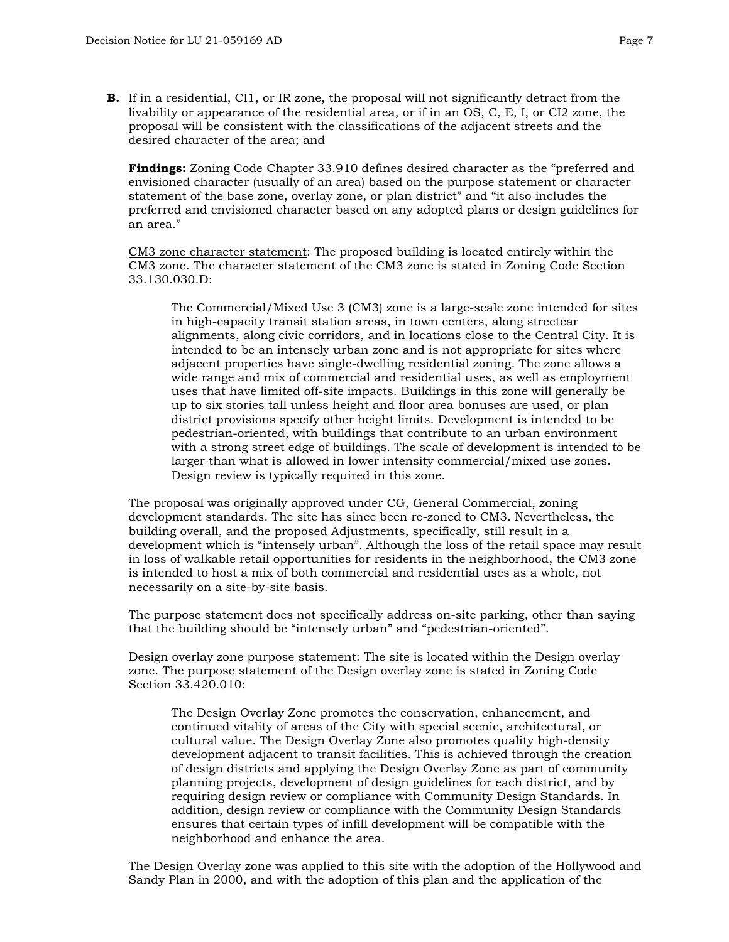**B.** If in a residential, CI1, or IR zone, the proposal will not significantly detract from the livability or appearance of the residential area, or if in an OS, C, E, I, or CI2 zone, the proposal will be consistent with the classifications of the adjacent streets and the desired character of the area; and

**Findings:** Zoning Code Chapter 33.910 defines desired character as the "preferred and envisioned character (usually of an area) based on the purpose statement or character statement of the base zone, overlay zone, or plan district" and "it also includes the preferred and envisioned character based on any adopted plans or design guidelines for an area."

CM3 zone character statement: The proposed building is located entirely within the CM3 zone. The character statement of the CM3 zone is stated in Zoning Code Section 33.130.030.D:

The Commercial/Mixed Use 3 (CM3) zone is a large-scale zone intended for sites in high-capacity transit station areas, in town centers, along streetcar alignments, along civic corridors, and in locations close to the Central City. It is intended to be an intensely urban zone and is not appropriate for sites where adjacent properties have single-dwelling residential zoning. The zone allows a wide range and mix of commercial and residential uses, as well as employment uses that have limited off-site impacts. Buildings in this zone will generally be up to six stories tall unless height and floor area bonuses are used, or plan district provisions specify other height limits. Development is intended to be pedestrian-oriented, with buildings that contribute to an urban environment with a strong street edge of buildings. The scale of development is intended to be larger than what is allowed in lower intensity commercial/mixed use zones. Design review is typically required in this zone.

The proposal was originally approved under CG, General Commercial, zoning development standards. The site has since been re-zoned to CM3. Nevertheless, the building overall, and the proposed Adjustments, specifically, still result in a development which is "intensely urban". Although the loss of the retail space may result in loss of walkable retail opportunities for residents in the neighborhood, the CM3 zone is intended to host a mix of both commercial and residential uses as a whole, not necessarily on a site-by-site basis.

The purpose statement does not specifically address on-site parking, other than saying that the building should be "intensely urban" and "pedestrian-oriented".

Design overlay zone purpose statement: The site is located within the Design overlay zone. The purpose statement of the Design overlay zone is stated in Zoning Code Section 33.420.010:

The Design Overlay Zone promotes the conservation, enhancement, and continued vitality of areas of the City with special scenic, architectural, or cultural value. The Design Overlay Zone also promotes quality high-density development adjacent to transit facilities. This is achieved through the creation of design districts and applying the Design Overlay Zone as part of community planning projects, development of design guidelines for each district, and by requiring design review or compliance with Community Design Standards. In addition, design review or compliance with the Community Design Standards ensures that certain types of infill development will be compatible with the neighborhood and enhance the area.

The Design Overlay zone was applied to this site with the adoption of the Hollywood and Sandy Plan in 2000, and with the adoption of this plan and the application of the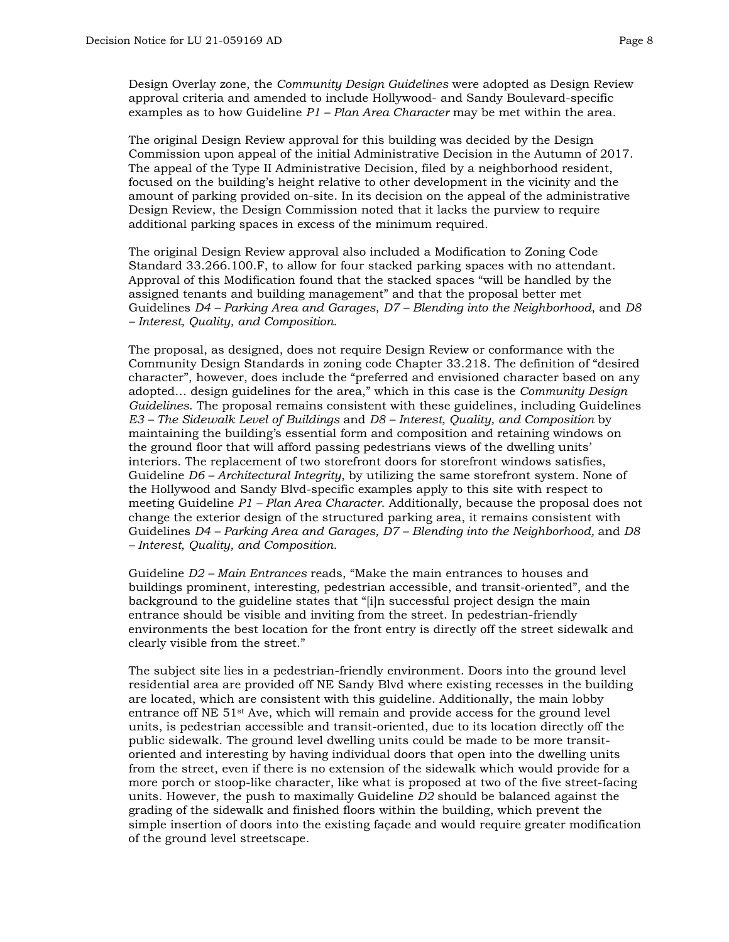Design Overlay zone, the *Community Design Guidelines* were adopted as Design Review approval criteria and amended to include Hollywood- and Sandy Boulevard-specific examples as to how Guideline *P1 – Plan Area Character* may be met within the area.

The original Design Review approval for this building was decided by the Design Commission upon appeal of the initial Administrative Decision in the Autumn of 2017. The appeal of the Type II Administrative Decision, filed by a neighborhood resident, focused on the building's height relative to other development in the vicinity and the amount of parking provided on-site. In its decision on the appeal of the administrative Design Review, the Design Commission noted that it lacks the purview to require additional parking spaces in excess of the minimum required.

The original Design Review approval also included a Modification to Zoning Code Standard 33.266.100.F, to allow for four stacked parking spaces with no attendant. Approval of this Modification found that the stacked spaces "will be handled by the assigned tenants and building management" and that the proposal better met Guidelines *D4 – Parking Area and Garages*, *D7 – Blending into the Neighborhood*, and *D8 – Interest, Quality, and Composition*.

The proposal, as designed, does not require Design Review or conformance with the Community Design Standards in zoning code Chapter 33.218. The definition of "desired character", however, does include the "preferred and envisioned character based on any adopted… design guidelines for the area," which in this case is the *Community Design Guidelines*. The proposal remains consistent with these guidelines, including Guidelines *E3 – The Sidewalk Level of Buildings* and *D8 – Interest, Quality, and Composition* by maintaining the building's essential form and composition and retaining windows on the ground floor that will afford passing pedestrians views of the dwelling units' interiors. The replacement of two storefront doors for storefront windows satisfies, Guideline *D6 – Architectural Integrity*, by utilizing the same storefront system. None of the Hollywood and Sandy Blvd-specific examples apply to this site with respect to meeting Guideline *P1 – Plan Area Character*. Additionally, because the proposal does not change the exterior design of the structured parking area, it remains consistent with Guidelines *D4 – Parking Area and Garages, D7 – Blending into the Neighborhood,* and *D8 – Interest, Quality, and Composition*.

Guideline *D2 – Main Entrances* reads, "Make the main entrances to houses and buildings prominent, interesting, pedestrian accessible, and transit-oriented", and the background to the guideline states that "[i]n successful project design the main entrance should be visible and inviting from the street. In pedestrian-friendly environments the best location for the front entry is directly off the street sidewalk and clearly visible from the street."

The subject site lies in a pedestrian-friendly environment. Doors into the ground level residential area are provided off NE Sandy Blvd where existing recesses in the building are located, which are consistent with this guideline. Additionally, the main lobby entrance off NE 51st Ave, which will remain and provide access for the ground level units, is pedestrian accessible and transit-oriented, due to its location directly off the public sidewalk. The ground level dwelling units could be made to be more transitoriented and interesting by having individual doors that open into the dwelling units from the street, even if there is no extension of the sidewalk which would provide for a more porch or stoop-like character, like what is proposed at two of the five street-facing units. However, the push to maximally Guideline *D2* should be balanced against the grading of the sidewalk and finished floors within the building, which prevent the simple insertion of doors into the existing façade and would require greater modification of the ground level streetscape.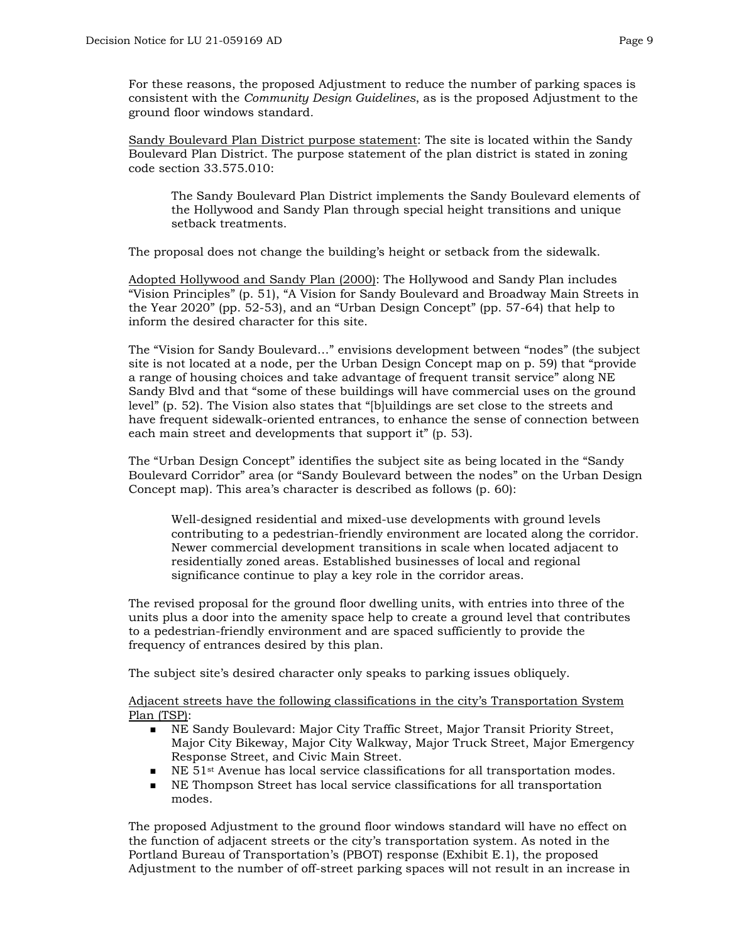For these reasons, the proposed Adjustment to reduce the number of parking spaces is consistent with the *Community Design Guidelines*, as is the proposed Adjustment to the ground floor windows standard*.*

Sandy Boulevard Plan District purpose statement: The site is located within the Sandy Boulevard Plan District. The purpose statement of the plan district is stated in zoning code section 33.575.010:

The Sandy Boulevard Plan District implements the Sandy Boulevard elements of the Hollywood and Sandy Plan through special height transitions and unique setback treatments.

The proposal does not change the building's height or setback from the sidewalk.

Adopted Hollywood and Sandy Plan (2000): The Hollywood and Sandy Plan includes "Vision Principles" (p. 51), "A Vision for Sandy Boulevard and Broadway Main Streets in the Year 2020" (pp. 52-53), and an "Urban Design Concept" (pp. 57-64) that help to inform the desired character for this site.

The "Vision for Sandy Boulevard…" envisions development between "nodes" (the subject site is not located at a node, per the Urban Design Concept map on p. 59) that "provide a range of housing choices and take advantage of frequent transit service" along NE Sandy Blvd and that "some of these buildings will have commercial uses on the ground level" (p. 52). The Vision also states that "[b]uildings are set close to the streets and have frequent sidewalk-oriented entrances, to enhance the sense of connection between each main street and developments that support it" (p. 53).

The "Urban Design Concept" identifies the subject site as being located in the "Sandy Boulevard Corridor" area (or "Sandy Boulevard between the nodes" on the Urban Design Concept map). This area's character is described as follows (p. 60):

Well-designed residential and mixed-use developments with ground levels contributing to a pedestrian-friendly environment are located along the corridor. Newer commercial development transitions in scale when located adjacent to residentially zoned areas. Established businesses of local and regional significance continue to play a key role in the corridor areas.

The revised proposal for the ground floor dwelling units, with entries into three of the units plus a door into the amenity space help to create a ground level that contributes to a pedestrian-friendly environment and are spaced sufficiently to provide the frequency of entrances desired by this plan.

The subject site's desired character only speaks to parking issues obliquely.

Adjacent streets have the following classifications in the city's Transportation System Plan (TSP):

- NE Sandy Boulevard: Major City Traffic Street, Major Transit Priority Street, Major City Bikeway, Major City Walkway, Major Truck Street, Major Emergency Response Street, and Civic Main Street.
- NE  $51$ <sup>st</sup> Avenue has local service classifications for all transportation modes.<br>NE Thompson Street has local service classifications for all transportation
- NE Thompson Street has local service classifications for all transportation modes.

The proposed Adjustment to the ground floor windows standard will have no effect on the function of adjacent streets or the city's transportation system. As noted in the Portland Bureau of Transportation's (PBOT) response (Exhibit E.1), the proposed Adjustment to the number of off-street parking spaces will not result in an increase in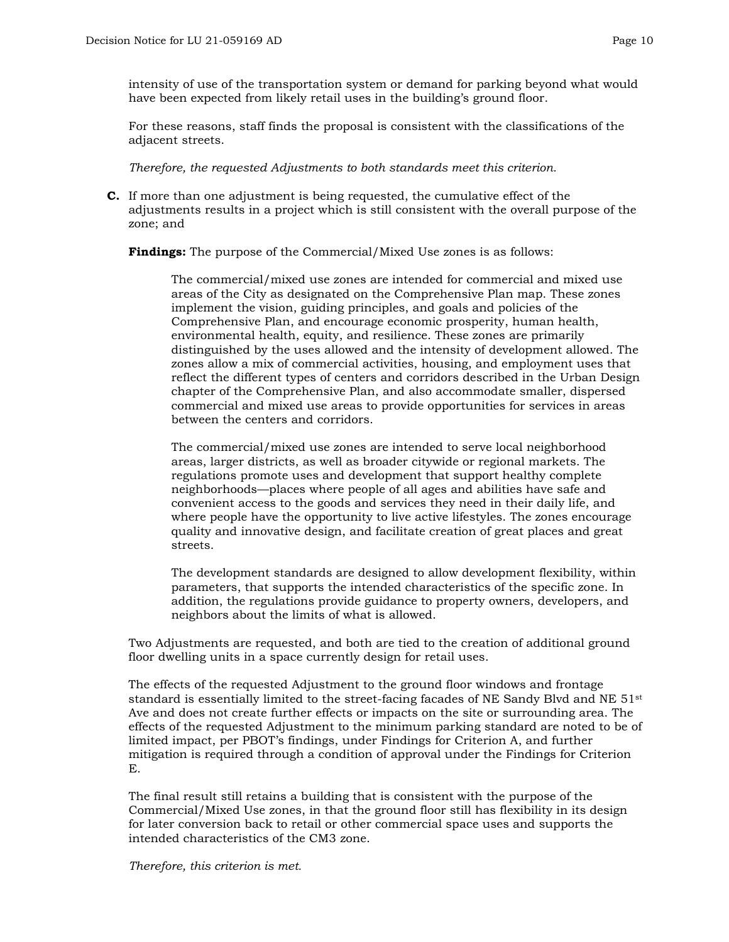intensity of use of the transportation system or demand for parking beyond what would have been expected from likely retail uses in the building's ground floor.

For these reasons, staff finds the proposal is consistent with the classifications of the adjacent streets.

*Therefore, the requested Adjustments to both standards meet this criterion.*

**C.** If more than one adjustment is being requested, the cumulative effect of the adjustments results in a project which is still consistent with the overall purpose of the zone; and

**Findings:** The purpose of the Commercial/Mixed Use zones is as follows:

The commercial/mixed use zones are intended for commercial and mixed use areas of the City as designated on the Comprehensive Plan map. These zones implement the vision, guiding principles, and goals and policies of the Comprehensive Plan, and encourage economic prosperity, human health, environmental health, equity, and resilience. These zones are primarily distinguished by the uses allowed and the intensity of development allowed. The zones allow a mix of commercial activities, housing, and employment uses that reflect the different types of centers and corridors described in the Urban Design chapter of the Comprehensive Plan, and also accommodate smaller, dispersed commercial and mixed use areas to provide opportunities for services in areas between the centers and corridors.

The commercial/mixed use zones are intended to serve local neighborhood areas, larger districts, as well as broader citywide or regional markets. The regulations promote uses and development that support healthy complete neighborhoods—places where people of all ages and abilities have safe and convenient access to the goods and services they need in their daily life, and where people have the opportunity to live active lifestyles. The zones encourage quality and innovative design, and facilitate creation of great places and great streets.

The development standards are designed to allow development flexibility, within parameters, that supports the intended characteristics of the specific zone. In addition, the regulations provide guidance to property owners, developers, and neighbors about the limits of what is allowed.

Two Adjustments are requested, and both are tied to the creation of additional ground floor dwelling units in a space currently design for retail uses.

The effects of the requested Adjustment to the ground floor windows and frontage standard is essentially limited to the street-facing facades of NE Sandy Blvd and NE 51<sup>st</sup> Ave and does not create further effects or impacts on the site or surrounding area. The effects of the requested Adjustment to the minimum parking standard are noted to be of limited impact, per PBOT's findings, under Findings for Criterion A, and further mitigation is required through a condition of approval under the Findings for Criterion E.

The final result still retains a building that is consistent with the purpose of the Commercial/Mixed Use zones, in that the ground floor still has flexibility in its design for later conversion back to retail or other commercial space uses and supports the intended characteristics of the CM3 zone.

*Therefore, this criterion is met.*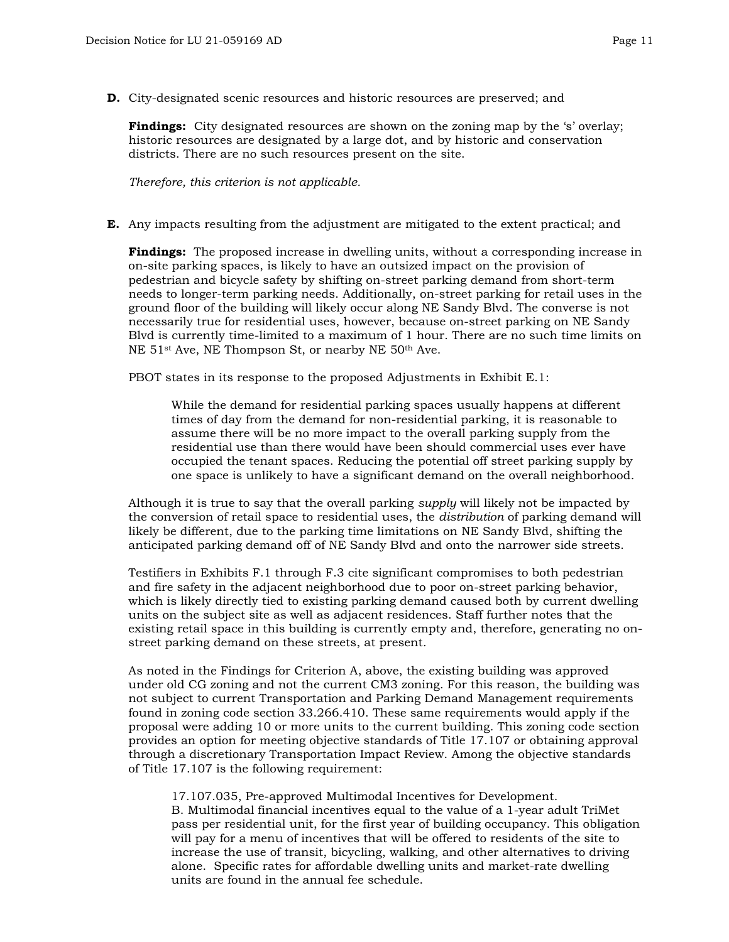**D.** City-designated scenic resources and historic resources are preserved; and

**Findings:** City designated resources are shown on the zoning map by the 's' overlay; historic resources are designated by a large dot, and by historic and conservation districts. There are no such resources present on the site.

*Therefore, this criterion is not applicable.*

**E.** Any impacts resulting from the adjustment are mitigated to the extent practical; and

**Findings:** The proposed increase in dwelling units, without a corresponding increase in on-site parking spaces, is likely to have an outsized impact on the provision of pedestrian and bicycle safety by shifting on-street parking demand from short-term needs to longer-term parking needs. Additionally, on-street parking for retail uses in the ground floor of the building will likely occur along NE Sandy Blvd. The converse is not necessarily true for residential uses, however, because on-street parking on NE Sandy Blvd is currently time-limited to a maximum of 1 hour. There are no such time limits on NE 51st Ave, NE Thompson St, or nearby NE 50th Ave.

PBOT states in its response to the proposed Adjustments in Exhibit E.1:

While the demand for residential parking spaces usually happens at different times of day from the demand for non-residential parking, it is reasonable to assume there will be no more impact to the overall parking supply from the residential use than there would have been should commercial uses ever have occupied the tenant spaces. Reducing the potential off street parking supply by one space is unlikely to have a significant demand on the overall neighborhood.

Although it is true to say that the overall parking *supply* will likely not be impacted by the conversion of retail space to residential uses, the *distribution* of parking demand will likely be different, due to the parking time limitations on NE Sandy Blvd, shifting the anticipated parking demand off of NE Sandy Blvd and onto the narrower side streets.

Testifiers in Exhibits F.1 through F.3 cite significant compromises to both pedestrian and fire safety in the adjacent neighborhood due to poor on-street parking behavior, which is likely directly tied to existing parking demand caused both by current dwelling units on the subject site as well as adjacent residences. Staff further notes that the existing retail space in this building is currently empty and, therefore, generating no onstreet parking demand on these streets, at present.

As noted in the Findings for Criterion A, above, the existing building was approved under old CG zoning and not the current CM3 zoning. For this reason, the building was not subject to current Transportation and Parking Demand Management requirements found in zoning code section 33.266.410. These same requirements would apply if the proposal were adding 10 or more units to the current building. This zoning code section provides an option for meeting objective standards of Title 17.107 or obtaining approval through a discretionary Transportation Impact Review. Among the objective standards of Title 17.107 is the following requirement:

17.107.035, Pre-approved Multimodal Incentives for Development. B. Multimodal financial incentives equal to the value of a 1-year adult TriMet pass per residential unit, for the first year of building occupancy. This obligation will pay for a menu of incentives that will be offered to residents of the site to increase the use of transit, bicycling, walking, and other alternatives to driving alone. Specific rates for affordable dwelling units and market-rate dwelling units are found in the annual fee schedule.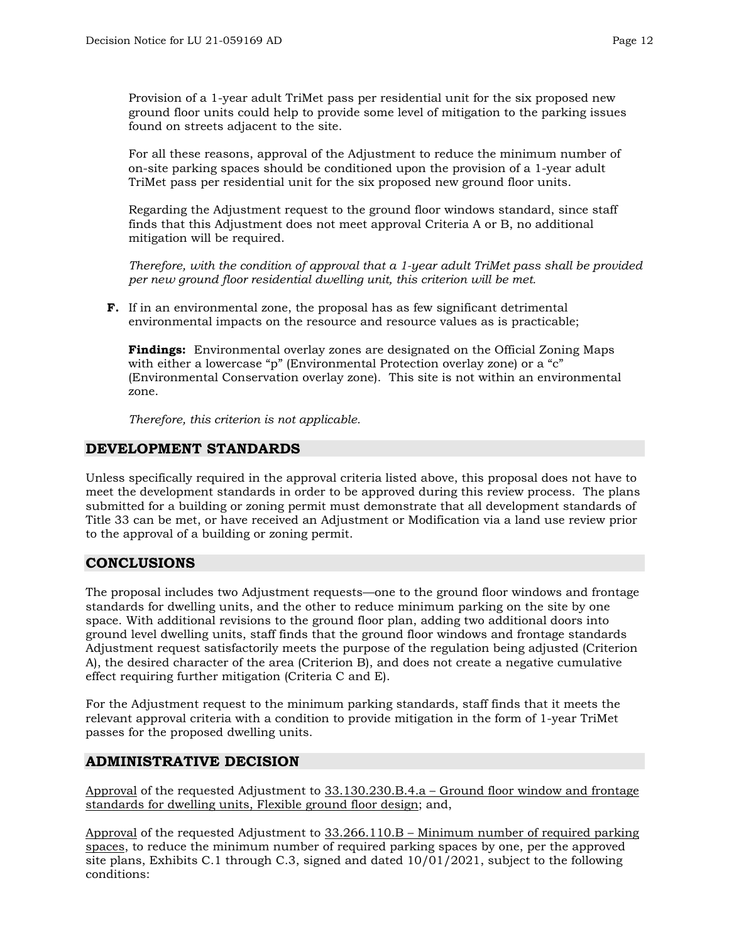Provision of a 1-year adult TriMet pass per residential unit for the six proposed new ground floor units could help to provide some level of mitigation to the parking issues found on streets adjacent to the site.

For all these reasons, approval of the Adjustment to reduce the minimum number of on-site parking spaces should be conditioned upon the provision of a 1-year adult TriMet pass per residential unit for the six proposed new ground floor units.

Regarding the Adjustment request to the ground floor windows standard, since staff finds that this Adjustment does not meet approval Criteria A or B, no additional mitigation will be required.

*Therefore, with the condition of approval that a 1-year adult TriMet pass shall be provided per new ground floor residential dwelling unit, this criterion will be met.*

**F.** If in an environmental zone, the proposal has as few significant detrimental environmental impacts on the resource and resource values as is practicable;

**Findings:** Environmental overlay zones are designated on the Official Zoning Maps with either a lowercase "p" (Environmental Protection overlay zone) or a "c" (Environmental Conservation overlay zone). This site is not within an environmental zone.

*Therefore, this criterion is not applicable.*

# **DEVELOPMENT STANDARDS**

Unless specifically required in the approval criteria listed above, this proposal does not have to meet the development standards in order to be approved during this review process. The plans submitted for a building or zoning permit must demonstrate that all development standards of Title 33 can be met, or have received an Adjustment or Modification via a land use review prior to the approval of a building or zoning permit.

# **CONCLUSIONS**

The proposal includes two Adjustment requests—one to the ground floor windows and frontage standards for dwelling units, and the other to reduce minimum parking on the site by one space. With additional revisions to the ground floor plan, adding two additional doors into ground level dwelling units, staff finds that the ground floor windows and frontage standards Adjustment request satisfactorily meets the purpose of the regulation being adjusted (Criterion A), the desired character of the area (Criterion B), and does not create a negative cumulative effect requiring further mitigation (Criteria C and E).

For the Adjustment request to the minimum parking standards, staff finds that it meets the relevant approval criteria with a condition to provide mitigation in the form of 1-year TriMet passes for the proposed dwelling units.

# **ADMINISTRATIVE DECISION**

Approval of the requested Adjustment to 33.130.230.B.4.a – Ground floor window and frontage standards for dwelling units, Flexible ground floor design; and,

Approval of the requested Adjustment to 33.266.110.B – Minimum number of required parking spaces, to reduce the minimum number of required parking spaces by one, per the approved site plans, Exhibits C.1 through C.3, signed and dated 10/01/2021, subject to the following conditions: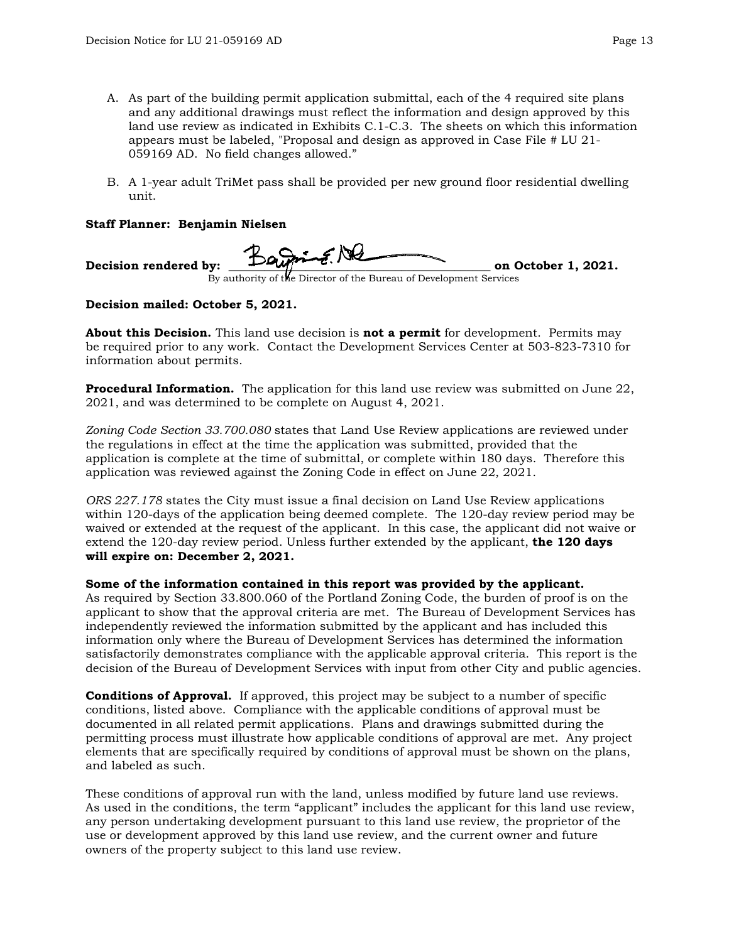- A. As part of the building permit application submittal, each of the 4 required site plans and any additional drawings must reflect the information and design approved by this land use review as indicated in Exhibits C.1-C.3. The sheets on which this information appears must be labeled, "Proposal and design as approved in Case File # LU 21- 059169 AD. No field changes allowed."
- B. A 1-year adult TriMet pass shall be provided per new ground floor residential dwelling unit.

### **Staff Planner: Benjamin Nielsen**

Decision rendered by:  $\overline{L}$ ,  $\overline{L}$ ,  $\overline{L}$ ,  $\overline{L}$  on October 1, 2021. By authority of the Director of the Bureau of Development Services

## **Decision mailed: October 5, 2021.**

**About this Decision.** This land use decision is **not a permit** for development. Permits may be required prior to any work. Contact the Development Services Center at 503-823-7310 for information about permits.

**Procedural Information.** The application for this land use review was submitted on June 22, 2021, and was determined to be complete on August 4, 2021.

*Zoning Code Section 33.700.080* states that Land Use Review applications are reviewed under the regulations in effect at the time the application was submitted, provided that the application is complete at the time of submittal, or complete within 180 days. Therefore this application was reviewed against the Zoning Code in effect on June 22, 2021.

*ORS 227.178* states the City must issue a final decision on Land Use Review applications within 120-days of the application being deemed complete. The 120-day review period may be waived or extended at the request of the applicant. In this case, the applicant did not waive or extend the 120-day review period. Unless further extended by the applicant, **the 120 days will expire on: December 2, 2021.**

#### **Some of the information contained in this report was provided by the applicant.**

As required by Section 33.800.060 of the Portland Zoning Code, the burden of proof is on the applicant to show that the approval criteria are met. The Bureau of Development Services has independently reviewed the information submitted by the applicant and has included this information only where the Bureau of Development Services has determined the information satisfactorily demonstrates compliance with the applicable approval criteria. This report is the decision of the Bureau of Development Services with input from other City and public agencies.

**Conditions of Approval.** If approved, this project may be subject to a number of specific conditions, listed above. Compliance with the applicable conditions of approval must be documented in all related permit applications. Plans and drawings submitted during the permitting process must illustrate how applicable conditions of approval are met. Any project elements that are specifically required by conditions of approval must be shown on the plans, and labeled as such.

These conditions of approval run with the land, unless modified by future land use reviews. As used in the conditions, the term "applicant" includes the applicant for this land use review, any person undertaking development pursuant to this land use review, the proprietor of the use or development approved by this land use review, and the current owner and future owners of the property subject to this land use review.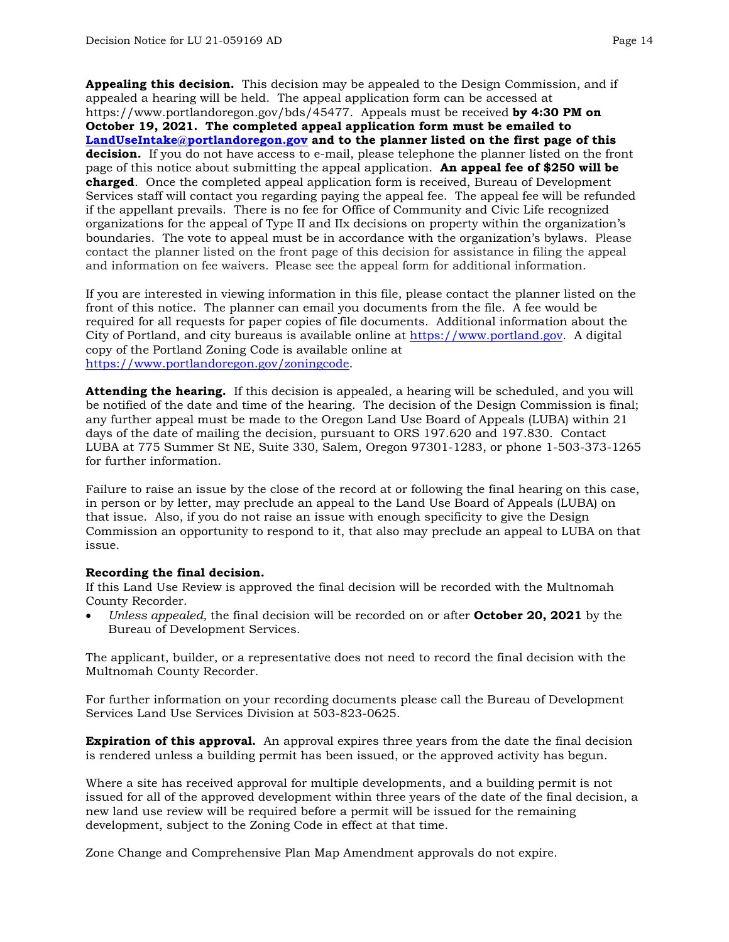**Appealing this decision.** This decision may be appealed to the Design Commission, and if appealed a hearing will be held. The appeal application form can be accessed at https://www.portlandoregon.gov/bds/45477. Appeals must be received **by 4:30 PM on October 19, 2021. The completed appeal application form must be emailed to [LandUseIntake@portlandoregon.gov](mailto:LandUseIntake@portlandoregon.gov) and to the planner listed on the first page of this decision.** If you do not have access to e-mail, please telephone the planner listed on the front page of this notice about submitting the appeal application. **An appeal fee of \$250 will be charged**. Once the completed appeal application form is received, Bureau of Development Services staff will contact you regarding paying the appeal fee. The appeal fee will be refunded if the appellant prevails. There is no fee for Office of Community and Civic Life recognized organizations for the appeal of Type II and IIx decisions on property within the organization's boundaries. The vote to appeal must be in accordance with the organization's bylaws. Please contact the planner listed on the front page of this decision for assistance in filing the appeal and information on fee waivers. Please see the appeal form for additional information.

If you are interested in viewing information in this file, please contact the planner listed on the front of this notice. The planner can email you documents from the file. A fee would be required for all requests for paper copies of file documents. Additional information about the City of Portland, and city bureaus is available online at [https://www.portland.gov.](https://www.portland.gov/) A digital copy of the Portland Zoning Code is available online at [https://www.portlandoregon.gov/zoningcode.](https://www.portlandoregon.gov/zoningcode)

**Attending the hearing.** If this decision is appealed, a hearing will be scheduled, and you will be notified of the date and time of the hearing. The decision of the Design Commission is final; any further appeal must be made to the Oregon Land Use Board of Appeals (LUBA) within 21 days of the date of mailing the decision, pursuant to ORS 197.620 and 197.830. Contact LUBA at 775 Summer St NE, Suite 330, Salem, Oregon 97301-1283, or phone 1-503-373-1265 for further information.

Failure to raise an issue by the close of the record at or following the final hearing on this case, in person or by letter, may preclude an appeal to the Land Use Board of Appeals (LUBA) on that issue. Also, if you do not raise an issue with enough specificity to give the Design Commission an opportunity to respond to it, that also may preclude an appeal to LUBA on that issue.

#### **Recording the final decision.**

If this Land Use Review is approved the final decision will be recorded with the Multnomah County Recorder.

• *Unless appealed,* the final decision will be recorded on or after **October 20, 2021** by the Bureau of Development Services.

The applicant, builder, or a representative does not need to record the final decision with the Multnomah County Recorder.

For further information on your recording documents please call the Bureau of Development Services Land Use Services Division at 503-823-0625.

**Expiration of this approval.** An approval expires three years from the date the final decision is rendered unless a building permit has been issued, or the approved activity has begun.

Where a site has received approval for multiple developments, and a building permit is not issued for all of the approved development within three years of the date of the final decision, a new land use review will be required before a permit will be issued for the remaining development, subject to the Zoning Code in effect at that time.

Zone Change and Comprehensive Plan Map Amendment approvals do not expire.